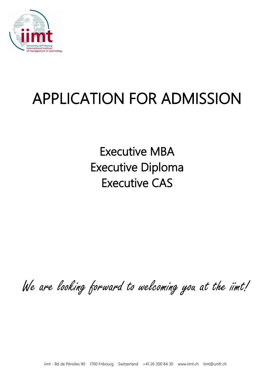

# APPLICATION FOR ADMISSION

Executive MBA Executive Diploma Executive CAS

We are looking forward to welcoming you at the iimt!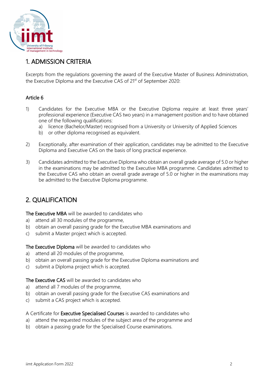

# 1. ADMISSION CRITERIA

Excerpts from the regulations governing the award of the Executive Master of Business Administration, the Executive Diploma and the Executive CAS of 21<sup>st</sup> of September 2020:

## Article 6

- 1) Candidates for the Executive MBA or the Executive Diploma require at least three years' professional experience (Executive CAS two years) in a management position and to have obtained one of the following qualifications:
	- a) licence (Bachelor/Master) recognised from a University or University of Applied Sciences
	- b) or other diploma recognised as equivalent.
- 2) Exceptionally, after examination of their application, candidates may be admitted to the Executive Diploma and Executive CAS on the basis of long practical experience.
- 3) Candidates admitted to the Executive Diploma who obtain an overall grade average of 5.0 or higher in the examinations may be admitted to the Executive MBA programme. Candidates admitted to the Executive CAS who obtain an overall grade average of 5.0 or higher in the examinations may be admitted to the Executive Diploma programme.

# 2. QUALIFICATION

The Executive MBA will be awarded to candidates who

- a) attend all 30 modules of the programme,
- b) obtain an overall passing grade for the Executive MBA examinations and
- c) submit a Master project which is accepted.

The Executive Diploma will be awarded to candidates who

- a) attend all 20 modules of the programme,
- b) obtain an overall passing grade for the Executive Diploma examinations and
- c) submit a Diploma project which is accepted.

The Executive CAS will be awarded to candidates who

- a) attend all 7 modules of the programme,
- b) obtain an overall passing grade for the Executive CAS examinations and
- c) submit a CAS project which is accepted.

A Certificate for Executive Specialised Courses is awarded to candidates who

- a) attend the requested modules of the subject area of the programme and
- b) obtain a passing grade for the Specialised Course examinations.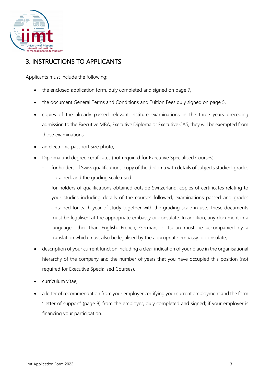

# 3. INSTRUCTIONS TO APPLICANTS

Applicants must include the following:

- the enclosed application form, duly completed and signed on page 7,
- the document General Terms and Conditions and Tuition Fees duly signed on page 5,
- copies of the already passed relevant institute examinations in the three years preceding admission to the Executive MBA, Executive Diploma or Executive CAS, they will be exempted from those examinations.
- an electronic passport size photo,
- Diploma and degree certificates (not required for Executive Specialised Courses);
	- for holders of Swiss qualifications: copy of the diploma with details of subjects studied, grades obtained, and the grading scale used
	- for holders of qualifications obtained outside Switzerland: copies of certificates relating to your studies including details of the courses followed, examinations passed and grades obtained for each year of study together with the grading scale in use. These documents must be legalised at the appropriate embassy or consulate. In addition, any document in a language other than English, French, German, or Italian must be accompanied by a translation which must also be legalised by the appropriate embassy or consulate,
- description of your current function including a clear indication of your place in the organisational hierarchy of the company and the number of years that you have occupied this position (not required for Executive Specialised Courses),
- curriculum vitae,
- a letter of recommendation from your employer certifying your current employment and the form 'Letter of support' (page 8) from the employer, duly completed and signed; if your employer is financing your participation.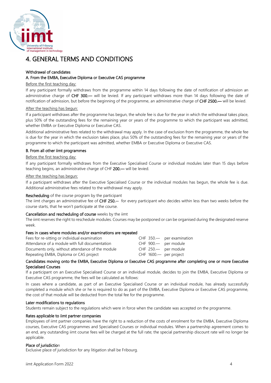

# 4. GENERAL TERMS AND CONDITIONS

#### Withdrawal of candidates

#### A. From the EMBA, Executive Diploma or Executive CAS programme

#### Before the first teaching day:

If any participant formally withdraws from the programme within 14 days following the date of notification of admission an administrative charge of CHF 300.— will be levied. If any participant withdraws more than 14 days following the date of notification of admission, but before the beginning of the programme, an administrative charge of CHF 2500.— will be levied.

#### After the teaching has begun:

If a participant withdraws after the programme has begun, the whole fee is due for the year in which the withdrawal takes place, plus 50% of the outstanding fees for the remaining year or years of the programme to which the participant was admitted, whether EMBA or Executive Diploma or Executive CAS.

Additional administrative fees related to the withdrawal may apply. In the case of exclusion from the programme, the whole fee is due for the year in which the exclusion takes place, plus 50% of the outstanding fees for the remaining year or years of the programme to which the participant was admitted, whether EMBA or Executive Diploma or Executive CAS.

#### B. From all other iimt programmes

#### Before the first teaching day:

If any participant formally withdraws from the Executive Specialised Course or individual modules later than 15 days before teaching begins, an administrative charge of CHF 200.— will be levied.

#### After the teaching has begun:

If a participant withdraws after the Executive Specialised Course or the individual modules has begun, the whole fee is due. Additional administrative fees related to the withdrawal may apply.

#### Rescheduling of the course program by the participant

The iimt charges an administrative fee of CHF 250.-- for every participant who decides within less than two weeks before the course starts, that he won't participate at the course.

#### Cancellation and rescheduling of course weeks by the iimt

The iimt reserves the right to reschedule modules. Courses may be postponed or can be organised during the designated reserve week.

#### Fees in cases where modules and/or examinations are repeated

| Fees for re-sitting or individual examination    |                          | CHF 350. per examination |
|--------------------------------------------------|--------------------------|--------------------------|
| Attendance of a module with full documentation   | CHF 900.— per module     |                          |
| Documents only, without attendance of the module | CHF 250.— per module     |                          |
| Repeating EMBA, Diploma or CAS project           | CHF $1600$ - per project |                          |

#### Candidates moving onto the EMBA, Executive Diploma or Executive CAS programme after completing one or more Executive Specialised Courses

If a participant on an Executive Specialised Course or an individual module, decides to join the EMBA, Executive Diploma or Executive CAS programme, the fees will be calculated as follows:

In cases where a candidate, as part of an Executive Specialised Course or an individual module, has already successfully completed a module which she or he is required to do as part of the EMBA, Executive Diploma or Executive CAS programme, the cost of that module will be deducted from the total fee for the programme.

#### Later modifications to regulations

Students remain subject to the regulations which were in force when the candidate was accepted on the programme.

#### Rates applicable to iimt partner companies

Employees of iimt partner companies have the right to a reduction of the costs of enrolment for the EMBA, Executive Diploma courses, Executive CAS programmes and Specialised Courses or individual modules. When a partnership agreement comes to an end, any outstanding iimt course fees will be charged at the full rate; the special partnership discount rate will no longer be applicable.

#### Place of jurisdiction

Exclusive place of jurisdiction for any litigation shall be Fribourg.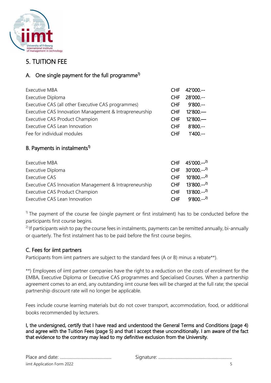

# 5. TUITION FEE

## A. One single payment for the full programme<sup>1)</sup>

| <b>Executive MBA</b>                                   |            | CHF 42'000 .-- |
|--------------------------------------------------------|------------|----------------|
| Executive Diploma                                      | <b>CHF</b> | $28'000$ .--   |
| Executive CAS (all other Executive CAS programmes)     | <b>CHF</b> | $9'800 --$     |
| Executive CAS Innovation Management & Intrapreneurship | <b>CHF</b> | $12'800 -$     |
| Executive CAS Product Champion                         | <b>CHF</b> | $12'800 -$     |
| Executive CAS Lean Innovation                          | <b>CHF</b> | $8'800 --$     |
| Fee for individual modules                             | <b>CHF</b> | $1'400 --$     |

## B. Payments in instalments $1$ <sup>)</sup>

| Executive MBA                                          |            | CHF 45'000.-- <sup>2)</sup>    |
|--------------------------------------------------------|------------|--------------------------------|
| Executive Diploma                                      |            | CHF 30'000.-- <sup>2)</sup>    |
| Executive CAS                                          |            | $CHF$ 10'800.-- <sup>2)</sup>  |
| Executive CAS Innovation Management & Intrapreneurship |            | CHF $13'800$ .-- <sup>2)</sup> |
| <b>Executive CAS Product Champion</b>                  | CHE.       | $13'800--^{2}$                 |
| Executive CAS Lean Innovation                          | <b>CHF</b> | $9'800 --^{2}$                 |

 $1)$  The payment of the course fee (single payment or first instalment) has to be conducted before the participants first course begins.

<sup>2)</sup> If participants wish to pay the course fees in instalments, payments can be remitted annually, bi-annually or quarterly. The first instalment has to be paid before the first course begins.

## C. Fees for iimt partners

Participants from iimt partners are subject to the standard fees (A or B) minus a rebate\*\*).

\*\*) Employees of iimt partner companies have the right to a reduction on the costs of enrolment for the EMBA, Executive Diploma or Executive CAS programmes and Specialised Courses. When a partnership agreement comes to an end, any outstanding iimt course fees will be charged at the full rate; the special partnership discount rate will no longer be applicable.

Fees include course learning materials but do not cover transport, accommodation, food, or additional books recommended by lecturers.

I, the undersigned, certify that I have read and understood the General Terms and Conditions (page 4) and agree with the Tuition Fees (page 5) and that I accept these unconditionally. I am aware of the fact that evidence to the contrary may lead to my definitive exclusion from the University.

| iimt Application Form 2022 |  |
|----------------------------|--|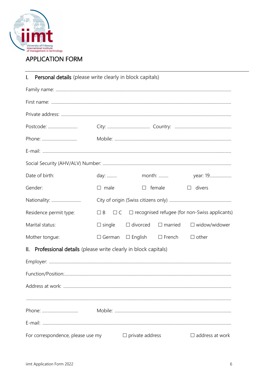

# **APPLICATION FORM**

| I. Personal details (please write clearly in block capitals)      |               |                        |                                            |                                                                        |
|-------------------------------------------------------------------|---------------|------------------------|--------------------------------------------|------------------------------------------------------------------------|
|                                                                   |               |                        |                                            |                                                                        |
|                                                                   |               |                        |                                            |                                                                        |
|                                                                   |               |                        |                                            |                                                                        |
| Postcode:                                                         |               |                        |                                            |                                                                        |
|                                                                   |               |                        |                                            |                                                                        |
|                                                                   |               |                        |                                            |                                                                        |
|                                                                   |               |                        |                                            |                                                                        |
| Date of birth:                                                    | day:          |                        | month:                                     | year: 19                                                               |
| Gender:                                                           | $\Box$ male   |                        | $\Box$ female                              | $\Box$ divers                                                          |
| Nationality:                                                      |               |                        |                                            |                                                                        |
| Residence permit type:                                            |               |                        |                                            | $\Box$ B $\Box$ C $\Box$ recognised refugee (for non-Swiss applicants) |
| Marital status:                                                   | $\Box$ single |                        | $\Box$ divorced $\Box$ married             | $\Box$ widow/widower                                                   |
| Mother tongue:                                                    |               |                        | $\Box$ German $\Box$ English $\Box$ French | $\Box$ other                                                           |
| II. Professional details (please write clearly in block capitals) |               |                        |                                            |                                                                        |
|                                                                   |               |                        |                                            |                                                                        |
|                                                                   |               |                        |                                            |                                                                        |
|                                                                   |               |                        |                                            |                                                                        |
|                                                                   |               |                        |                                            |                                                                        |
| Phone:                                                            |               |                        |                                            |                                                                        |
|                                                                   |               |                        |                                            |                                                                        |
| For correspondence, please use my                                 |               | $\Box$ private address |                                            | $\Box$ address at work                                                 |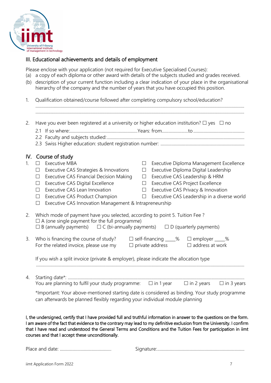

## III. Educational achievements and details of employment

Please enclose with your application (not required for Executive Specialised Courses):

- (a) a copy of each diploma or other award with details of the subjects studied and grades received.
- (b) description of your current function including a clear indication of your place in the organisational hierarchy of the company and the number of years that you have occupied this position.

| 1.             | Qualification obtained/course followed after completing compulsory school/education?                                                                                                                                                                                                                                                            |                                                                                                                                                                                                                                                                                                        |  |  |
|----------------|-------------------------------------------------------------------------------------------------------------------------------------------------------------------------------------------------------------------------------------------------------------------------------------------------------------------------------------------------|--------------------------------------------------------------------------------------------------------------------------------------------------------------------------------------------------------------------------------------------------------------------------------------------------------|--|--|
| 2.             | Have you ever been registered at a university or higher education institution? $\Box$ yes $\Box$ no                                                                                                                                                                                                                                             |                                                                                                                                                                                                                                                                                                        |  |  |
|                | IV. Course of study                                                                                                                                                                                                                                                                                                                             |                                                                                                                                                                                                                                                                                                        |  |  |
| $\mathbf{1}$ . | <b>Executive MBA</b><br>Executive CAS Strategies & Innovations<br>$\Box$<br><b>Executive CAS Financial Decision Making</b><br>$\Box$<br><b>Executive CAS Digital Excellence</b><br>$\Box$<br>Executive CAS Lean Innovation<br>П<br>Executive CAS Product Champion<br>$\Box$<br>Executive CAS Innovation Management & Intrapreneurship<br>$\Box$ | Executive Diploma Management Excellence<br>$\Box$<br>Executive Diploma Digital Leadership<br>$\Box$<br>Executive CAS Leadership & HRM<br>$\Box$<br>Executive CAS Project Excellence<br>$\Box$<br>Executive CAS Privacy & Innovation<br>$\Box$<br>Executive CAS Leadership in a diverse world<br>$\Box$ |  |  |
| 2.             | Which mode of payment have you selected, according to point 5. Tuition Fee?<br>$\Box$ A (one single payment for the full programme)<br>$\Box$ B (annually payments) $\Box$ C (bi-annually payments) $\Box$ D (quarterly payments)                                                                                                               |                                                                                                                                                                                                                                                                                                        |  |  |
| 3.             | Who is financing the course of study?<br>For the related invoice, please use my                                                                                                                                                                                                                                                                 | $\Box$ self-financing ____%<br>$\Box$ employer $\_\_\_\%$<br>$\Box$ private address<br>$\Box$ address at work                                                                                                                                                                                          |  |  |
|                | If you wish a split invoice (private & employer), please indicate the allocation type                                                                                                                                                                                                                                                           |                                                                                                                                                                                                                                                                                                        |  |  |
| 4.             | You are planning to fulfil your study programme: $\Box$ in 1 year $\Box$ in 2 years<br>*Important: Your above-mentioned starting date is considered as binding. Your study programme<br>can afterwards be planned flexibly regarding your individual module planning                                                                            | $\Box$ in 3 years                                                                                                                                                                                                                                                                                      |  |  |

I, the undersigned, certify that I have provided full and truthful information in answer to the questions on the form. I am aware of the fact that evidence to the contrary may lead to my definitive exclusion from the University. I confirm that I have read and understood the General Terms and Conditions and the Tuition Fees for participation in iimt courses and that I accept these unconditionally.

Place and date: ............................................... Signature:................................................................................